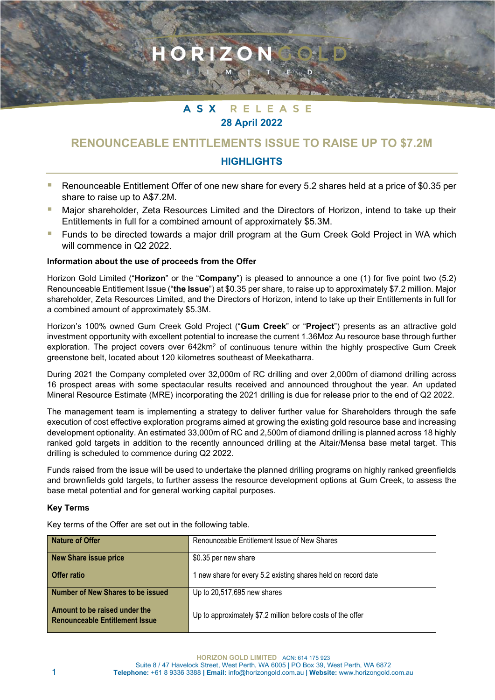#### **ASX** RELEASE **28 April 2022**

RIZON

# **RENOUNCEABLE ENTITLEMENTS ISSUE TO RAISE UP TO \$7.2M**

## **HIGHLIGHTS**

- Renounceable Entitlement Offer of one new share for every 5.2 shares held at a price of \$0.35 per share to raise up to A\$7.2M.
- Major shareholder, Zeta Resources Limited and the Directors of Horizon, intend to take up their Entitlements in full for a combined amount of approximately \$5.3M.
- **F** Funds to be directed towards a major drill program at the Gum Creek Gold Project in WA which will commence in Q2 2022.

### **Information about the use of proceeds from the Offer**

Horizon Gold Limited ("**Horizon**" or the "**Company**") is pleased to announce a one (1) for five point two (5.2) Renounceable Entitlement Issue ("**the Issue**") at \$0.35 per share, to raise up to approximately \$7.2 million. Major shareholder, Zeta Resources Limited, and the Directors of Horizon, intend to take up their Entitlements in full for a combined amount of approximately \$5.3M.

Horizon's 100% owned Gum Creek Gold Project ("**Gum Creek**" or "**Project**") presents as an attractive gold investment opportunity with excellent potential to increase the current 1.36Moz Au resource base through further exploration. The project covers over 642km<sup>2</sup> of continuous tenure within the highly prospective Gum Creek greenstone belt, located about 120 kilometres southeast of Meekatharra.

During 2021 the Company completed over 32,000m of RC drilling and over 2,000m of diamond drilling across 16 prospect areas with some spectacular results received and announced throughout the year. An updated Mineral Resource Estimate (MRE) incorporating the 2021 drilling is due for release prior to the end of Q2 2022.

The management team is implementing a strategy to deliver further value for Shareholders through the safe execution of cost effective exploration programs aimed at growing the existing gold resource base and increasing development optionality. An estimated 33,000m of RC and 2,500m of diamond drilling is planned across 18 highly ranked gold targets in addition to the recently announced drilling at the Altair/Mensa base metal target. This drilling is scheduled to commence during Q2 2022.

Funds raised from the issue will be used to undertake the planned drilling programs on highly ranked greenfields and brownfields gold targets, to further assess the resource development options at Gum Creek, to assess the base metal potential and for general working capital purposes.

## **Key Terms**

Key terms of the Offer are set out in the following table.

| <b>Nature of Offer</b>                                                 | Renounceable Entitlement Issue of New Shares                  |
|------------------------------------------------------------------------|---------------------------------------------------------------|
| <b>New Share issue price</b>                                           | \$0.35 per new share                                          |
| <b>Offer ratio</b>                                                     | 1 new share for every 5.2 existing shares held on record date |
| <b>Number of New Shares to be issued</b>                               | Up to 20,517,695 new shares                                   |
| Amount to be raised under the<br><b>Renounceable Entitlement Issue</b> | Up to approximately \$7.2 million before costs of the offer   |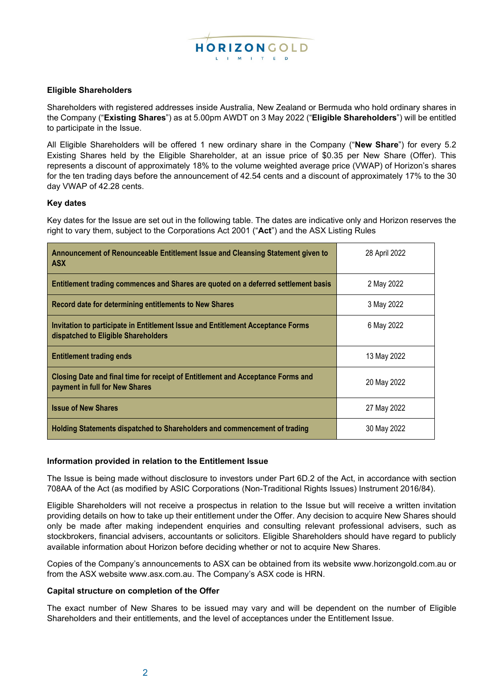

## **Eligible Shareholders**

Shareholders with registered addresses inside Australia, New Zealand or Bermuda who hold ordinary shares in the Company ("**Existing Shares**") as at 5.00pm AWDT on 3 May 2022 ("**Eligible Shareholders**") will be entitled to participate in the Issue.

All Eligible Shareholders will be offered 1 new ordinary share in the Company ("**New Share**") for every 5.2 Existing Shares held by the Eligible Shareholder, at an issue price of \$0.35 per New Share (Offer). This represents a discount of approximately 18% to the volume weighted average price (VWAP) of Horizon's shares for the ten trading days before the announcement of 42.54 cents and a discount of approximately 17% to the 30 day VWAP of 42.28 cents.

#### **Key dates**

Key dates for the Issue are set out in the following table. The dates are indicative only and Horizon reserves the right to vary them, subject to the Corporations Act 2001 ("**Act**") and the ASX Listing Rules

| Announcement of Renounceable Entitlement Issue and Cleansing Statement given to<br><b>ASX</b>                          | 28 April 2022 |
|------------------------------------------------------------------------------------------------------------------------|---------------|
| Entitlement trading commences and Shares are quoted on a deferred settlement basis                                     | 2 May 2022    |
| Record date for determining entitlements to New Shares                                                                 | 3 May 2022    |
| Invitation to participate in Entitlement Issue and Entitlement Acceptance Forms<br>dispatched to Eligible Shareholders | 6 May 2022    |
| <b>Entitlement trading ends</b>                                                                                        | 13 May 2022   |
| Closing Date and final time for receipt of Entitlement and Acceptance Forms and<br>payment in full for New Shares      | 20 May 2022   |
| <b>Issue of New Shares</b>                                                                                             | 27 May 2022   |
| Holding Statements dispatched to Shareholders and commencement of trading                                              | 30 May 2022   |

#### **Information provided in relation to the Entitlement Issue**

The Issue is being made without disclosure to investors under Part 6D.2 of the Act, in accordance with section 708AA of the Act (as modified by ASIC Corporations (Non-Traditional Rights Issues) Instrument 2016/84).

Eligible Shareholders will not receive a prospectus in relation to the Issue but will receive a written invitation providing details on how to take up their entitlement under the Offer. Any decision to acquire New Shares should only be made after making independent enquiries and consulting relevant professional advisers, such as stockbrokers, financial advisers, accountants or solicitors. Eligible Shareholders should have regard to publicly available information about Horizon before deciding whether or not to acquire New Shares.

Copies of the Company's announcements to ASX can be obtained from its website www.horizongold.com.au or from the ASX website www.asx.com.au. The Company's ASX code is HRN.

#### **Capital structure on completion of the Offer**

The exact number of New Shares to be issued may vary and will be dependent on the number of Eligible Shareholders and their entitlements, and the level of acceptances under the Entitlement Issue.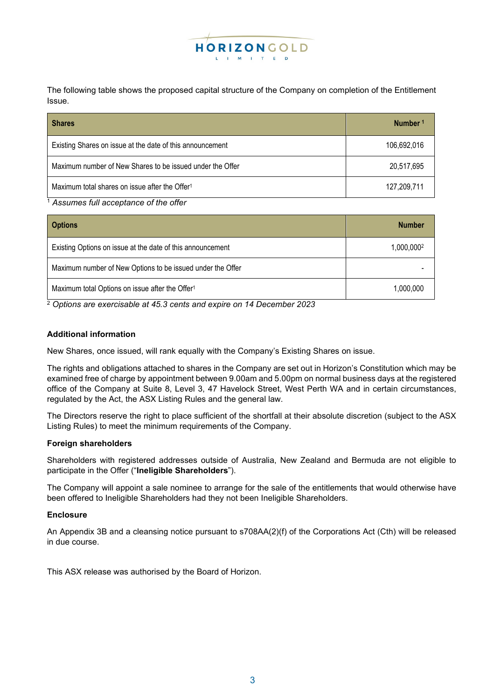

The following table shows the proposed capital structure of the Company on completion of the Entitlement Issue.

| <b>Shares</b>                                              | Number <sup>1</sup> |
|------------------------------------------------------------|---------------------|
| Existing Shares on issue at the date of this announcement  | 106,692,016         |
| Maximum number of New Shares to be issued under the Offer  | 20,517,695          |
| Maximum total shares on issue after the Offer <sup>1</sup> | 127,209,711         |

<sup>1</sup> *Assumes full acceptance of the offer*

| <b>Options</b>                                              | <b>Number</b> |
|-------------------------------------------------------------|---------------|
| Existing Options on issue at the date of this announcement  | 1,000,0002    |
| Maximum number of New Options to be issued under the Offer  |               |
| Maximum total Options on issue after the Offer <sup>1</sup> | 1.000.000     |

<sup>2</sup> *Options are exercisable at 45.3 cents and expire on 14 December 2023*

## **Additional information**

New Shares, once issued, will rank equally with the Company's Existing Shares on issue.

The rights and obligations attached to shares in the Company are set out in Horizon's Constitution which may be examined free of charge by appointment between 9.00am and 5.00pm on normal business days at the registered office of the Company at Suite 8, Level 3, 47 Havelock Street, West Perth WA and in certain circumstances, regulated by the Act, the ASX Listing Rules and the general law.

The Directors reserve the right to place sufficient of the shortfall at their absolute discretion (subject to the ASX Listing Rules) to meet the minimum requirements of the Company.

#### **Foreign shareholders**

Shareholders with registered addresses outside of Australia, New Zealand and Bermuda are not eligible to participate in the Offer ("**Ineligible Shareholders**").

The Company will appoint a sale nominee to arrange for the sale of the entitlements that would otherwise have been offered to Ineligible Shareholders had they not been Ineligible Shareholders.

#### **Enclosure**

An Appendix 3B and a cleansing notice pursuant to s708AA(2)(f) of the Corporations Act (Cth) will be released in due course.

This ASX release was authorised by the Board of Horizon.